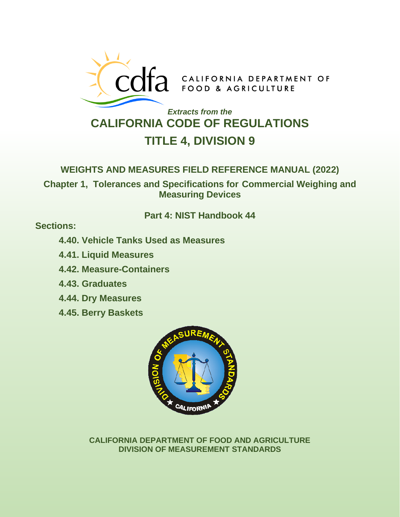

# *Extracts from the* **CALIFORNIA CODE OF REGULATIONS TITLE 4, DIVISION 9**

# **WEIGHTS AND MEASURES FIELD REFERENCE MANUAL (2022)**

**Chapter 1, Tolerances and Specifications for Commercial Weighing and Measuring Devices**

# **Part 4: NIST Handbook 44**

**Sections:**

- **4.40. Vehicle Tanks Used as Measures**
- **4.41. Liquid Measures**
- **4.42. Measure-Containers**
- **4.43. Graduates**
- **4.44. Dry Measures**
- **4.45. Berry Baskets**



**CALIFORNIA DEPARTMENT OF FOOD AND AGRICULTURE DIVISION OF MEASUREMENT STANDARDS**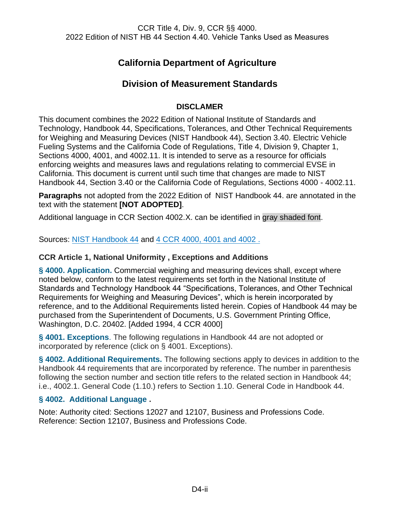# **California Department of Agriculture**

# **Division of Measurement Standards**

#### **DISCLAMER**

This document combines the 2022 Edition of National Institute of Standards and Technology, Handbook 44, Specifications, Tolerances, and Other Technical Requirements for Weighing and Measuring Devices (NIST Handbook 44), Section 3.40. Electric Vehicle Fueling Systems and the California Code of Regulations, Title 4, Division 9, Chapter 1, Sections 4000, 4001, and 4002.11. It is intended to serve as a resource for officials enforcing weights and measures laws and regulations relating to commercial EVSE in California. This document is current until such time that changes are made to NIST Handbook 44, Section 3.40 or the California Code of Regulations, Sections 4000 - 4002.11.

**Paragraphs** not adopted from the 2022 Edition of NIST Handbook 44. are annotated in the text with the statement **[NOT ADOPTED]**.

Additional language in CCR Section 4002.X. can be identified in gray shaded font.

Sources: [NIST Handbook 44](https://www.nist.gov/pml/weights-and-measures/publications/nist-handbooks/other-nist-handbooks/other-nist-handbooks-2-2) and [4 CCR 4000, 4001 and 4002 .](https://govt.westlaw.com/calregs/Browse/Home/California/CaliforniaCodeofRegulations?guid=I51963570D45911DEA95CA4428EC25FA0&originationContext=documenttoc&transitionType=Default&contextData=(sc.Default))

#### **CCR Article 1, National Uniformity , Exceptions and Additions**

**[§ 4000. Application.](https://govt.westlaw.com/calregs/Document/I5195E750D45911DEA95CA4428EC25FA0?viewType=FullText&originationContext=documenttoc&transitionType=CategoryPageItem&contextData=(sc.Default))** Commercial weighing and measuring devices shall, except where noted below, conform to the latest requirements set forth in the National Institute of Standards and Technology Handbook 44 "Specifications, Tolerances, and Other Technical Requirements for Weighing and Measuring Devices", which is herein incorporated by reference, and to the Additional Requirements listed herein. Copies of Handbook 44 may be purchased from the Superintendent of Documents, U.S. Government Printing Office, Washington, D.C. 20402. [Added 1994, 4 CCR 4000]

**[§ 4001. Exceptions](https://govt.westlaw.com/calregs/Document/IF9107AD8FD604533930F201DD4D04327?viewType=FullText&originationContext=documenttoc&transitionType=CategoryPageItem&contextData=(sc.Default))**. The following regulations in Handbook 44 are not adopted or incorporated by reference (click on § 4001. Exceptions).

**[§ 4002. Additional Requirements.](https://govt.westlaw.com/calregs/Document/I5404C470D45911DEA95CA4428EC25FA0?viewType=FullText&originationContext=documenttoc&transitionType=CategoryPageItem&contextData=(sc.Default))** The following sections apply to devices in addition to the Handbook 44 requirements that are incorporated by reference. The number in parenthesis following the section number and section title refers to the related section in Handbook 44; i.e., 4002.1. General Code (1.10.) refers to Section 1.10. General Code in Handbook 44.

#### **[§ 4002.](https://govt.westlaw.com/calregs/Document/IE46E6433D170468DA724522E70EC6F01?viewType=FullText&originationContext=documenttoc&transitionType=CategoryPageItem&contextData=(sc.Default)) Additional Language .**

Note: Authority cited: Sections 12027 and 12107, Business and Professions Code. Reference: Section 12107, Business and Professions Code.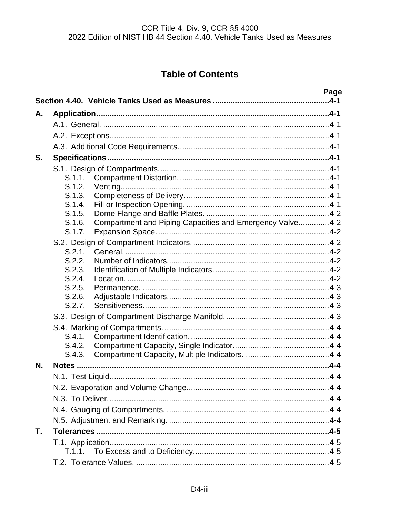# **Table of Contents**

|    |                                                                              | Page |  |  |
|----|------------------------------------------------------------------------------|------|--|--|
| Α. |                                                                              |      |  |  |
|    |                                                                              |      |  |  |
|    |                                                                              |      |  |  |
|    |                                                                              |      |  |  |
| S. |                                                                              |      |  |  |
|    |                                                                              |      |  |  |
|    | S.1.1.                                                                       |      |  |  |
|    | S.1.2.                                                                       |      |  |  |
|    | S.1.3.                                                                       |      |  |  |
|    | S.1.4.                                                                       |      |  |  |
|    | S.1.5.                                                                       |      |  |  |
|    | S.1.6.<br>Compartment and Piping Capacities and Emergency Valve4-2<br>S.1.7. |      |  |  |
|    |                                                                              |      |  |  |
|    | S.2.1.                                                                       |      |  |  |
|    | S.2.2.                                                                       |      |  |  |
|    | S.2.3.                                                                       |      |  |  |
|    | S.2.4.                                                                       |      |  |  |
|    | S.2.5.                                                                       |      |  |  |
|    | S.2.6.                                                                       |      |  |  |
|    | S.2.7.                                                                       |      |  |  |
|    |                                                                              |      |  |  |
|    |                                                                              |      |  |  |
|    | S.4.1.                                                                       |      |  |  |
|    | S.4.2.<br>S.4.3.                                                             |      |  |  |
| N. |                                                                              |      |  |  |
|    |                                                                              |      |  |  |
|    |                                                                              |      |  |  |
|    |                                                                              |      |  |  |
|    |                                                                              |      |  |  |
|    |                                                                              |      |  |  |
|    |                                                                              |      |  |  |
| Τ. |                                                                              |      |  |  |
|    |                                                                              |      |  |  |
|    | T.1.1.                                                                       |      |  |  |
|    |                                                                              |      |  |  |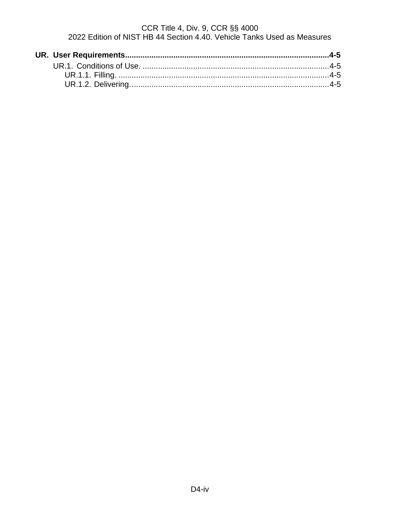CCR Title 4, Div. 9, CCR §§ 4000<br>2022 Edition of NIST HB 44 Section 4.40. Vehicle Tanks Used as Measures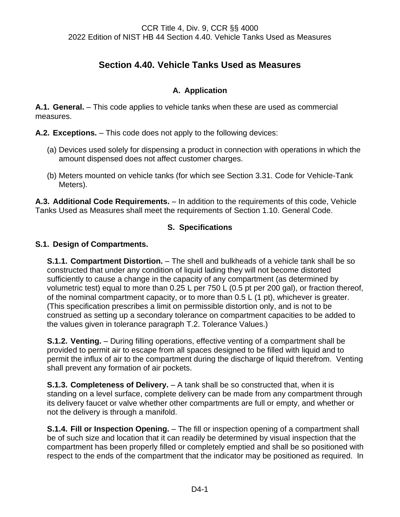# **Section 4.40. Vehicle Tanks Used as Measures**

### **A. Application**

<span id="page-4-2"></span><span id="page-4-1"></span><span id="page-4-0"></span>**A.1. General.** – This code applies to vehicle tanks when these are used as commercial measures.

<span id="page-4-3"></span>**A.2. Exceptions.** – This code does not apply to the following devices:

- (a) Devices used solely for dispensing a product in connection with operations in which the amount dispensed does not affect customer charges.
- (b) Meters mounted on vehicle tanks (for which see Section 3.31. Code for Vehicle-Tank Meters).

<span id="page-4-4"></span>**A.3. Additional Code Requirements.** – In addition to the requirements of this code, Vehicle Tanks Used as Measures shall meet the requirements of Section 1.10. General Code.

### **S. Specifications**

#### <span id="page-4-6"></span><span id="page-4-5"></span>**S.1. Design of Compartments.**

<span id="page-4-7"></span>**S.1.1. Compartment Distortion.** – The shell and bulkheads of a vehicle tank shall be so constructed that under any condition of liquid lading they will not become distorted sufficiently to cause a change in the capacity of any compartment (as determined by volumetric test) equal to more than 0.25 L per 750 L (0.5 pt per 200 gal), or fraction thereof, of the nominal compartment capacity, or to more than 0.5 L (1 pt), whichever is greater. (This specification prescribes a limit on permissible distortion only, and is not to be construed as setting up a secondary tolerance on compartment capacities to be added to the values given in tolerance paragraph T.2. Tolerance Values.)

<span id="page-4-8"></span>**S.1.2. Venting.** – During filling operations, effective venting of a compartment shall be provided to permit air to escape from all spaces designed to be filled with liquid and to permit the influx of air to the compartment during the discharge of liquid therefrom. Venting shall prevent any formation of air pockets.

<span id="page-4-9"></span>**S.1.3. Completeness of Delivery.** – A tank shall be so constructed that, when it is standing on a level surface, complete delivery can be made from any compartment through its delivery faucet or valve whether other compartments are full or empty, and whether or not the delivery is through a manifold.

<span id="page-4-10"></span>**S.1.4. Fill or Inspection Opening.** – The fill or inspection opening of a compartment shall be of such size and location that it can readily be determined by visual inspection that the compartment has been properly filled or completely emptied and shall be so positioned with respect to the ends of the compartment that the indicator may be positioned as required. In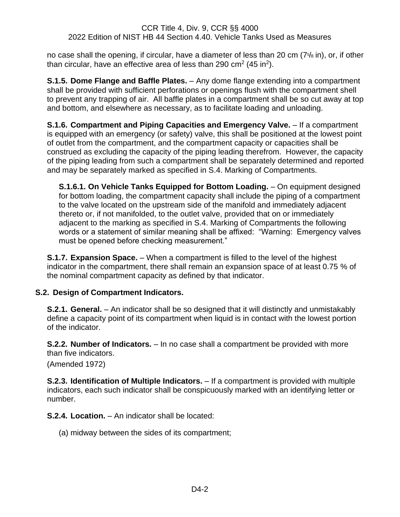#### CCR Title 4, Div. 9, CCR §§ 4000 2022 Edition of NIST HB 44 Section 4.40. Vehicle Tanks Used as Measures

no case shall the opening, if circular, have a diameter of less than 20 cm (7<sup>5/8</sup> in), or, if other than circular, have an effective area of less than 290 cm<sup>2</sup> (45 in<sup>2</sup>).

<span id="page-5-0"></span>**S.1.5. Dome Flange and Baffle Plates.** – Any dome flange extending into a compartment shall be provided with sufficient perforations or openings flush with the compartment shell to prevent any trapping of air. All baffle plates in a compartment shall be so cut away at top and bottom, and elsewhere as necessary, as to facilitate loading and unloading.

<span id="page-5-1"></span>**S.1.6. Compartment and Piping Capacities and Emergency Valve.** – If a compartment is equipped with an emergency (or safety) valve, this shall be positioned at the lowest point of outlet from the compartment, and the compartment capacity or capacities shall be construed as excluding the capacity of the piping leading therefrom. However, the capacity of the piping leading from such a compartment shall be separately determined and reported and may be separately marked as specified in S.4. Marking of Compartments.

**S.1.6.1. On Vehicle Tanks Equipped for Bottom Loading.** – On equipment designed for bottom loading, the compartment capacity shall include the piping of a compartment to the valve located on the upstream side of the manifold and immediately adjacent thereto or, if not manifolded, to the outlet valve, provided that on or immediately adjacent to the marking as specified in S.4. Marking of Compartments the following words or a statement of similar meaning shall be affixed: "Warning: Emergency valves must be opened before checking measurement."

<span id="page-5-2"></span>**S.1.7. Expansion Space.** – When a compartment is filled to the level of the highest indicator in the compartment, there shall remain an expansion space of at least 0.75 % of the nominal compartment capacity as defined by that indicator.

#### <span id="page-5-3"></span>**S.2. Design of Compartment Indicators.**

<span id="page-5-4"></span>**S.2.1. General.** – An indicator shall be so designed that it will distinctly and unmistakably define a capacity point of its compartment when liquid is in contact with the lowest portion of the indicator.

<span id="page-5-5"></span>**S.2.2. Number of Indicators.** – In no case shall a compartment be provided with more than five indicators.

(Amended 1972)

<span id="page-5-6"></span>**S.2.3. Identification of Multiple Indicators.** – If a compartment is provided with multiple indicators, each such indicator shall be conspicuously marked with an identifying letter or number.

<span id="page-5-7"></span>**S.2.4. Location.** – An indicator shall be located:

(a) midway between the sides of its compartment;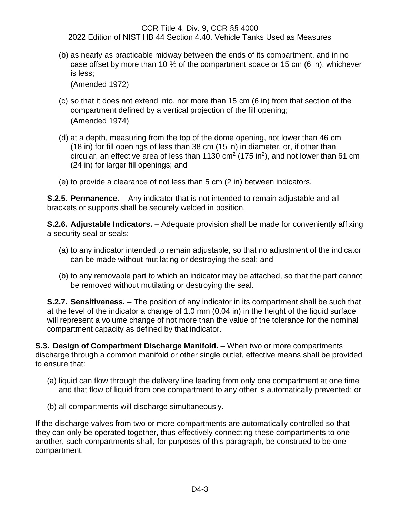#### CCR Title 4, Div. 9, CCR §§ 4000

2022 Edition of NIST HB 44 Section 4.40. Vehicle Tanks Used as Measures

(b) as nearly as practicable midway between the ends of its compartment, and in no case offset by more than 10 % of the compartment space or 15 cm (6 in), whichever is less;

(Amended 1972)

- (c) so that it does not extend into, nor more than 15 cm (6 in) from that section of the compartment defined by a vertical projection of the fill opening; (Amended 1974)
- (d) at a depth, measuring from the top of the dome opening, not lower than 46 cm (18 in) for fill openings of less than 38 cm (15 in) in diameter, or, if other than circular, an effective area of less than 1130 cm<sup>2</sup> (175 in<sup>2</sup>), and not lower than 61 cm (24 in) for larger fill openings; and
- (e) to provide a clearance of not less than 5 cm (2 in) between indicators.

<span id="page-6-0"></span>**S.2.5. Permanence.** – Any indicator that is not intended to remain adjustable and all brackets or supports shall be securely welded in position.

<span id="page-6-1"></span>**S.2.6. Adjustable Indicators.** – Adequate provision shall be made for conveniently affixing a security seal or seals:

- (a) to any indicator intended to remain adjustable, so that no adjustment of the indicator can be made without mutilating or destroying the seal; and
- (b) to any removable part to which an indicator may be attached, so that the part cannot be removed without mutilating or destroying the seal.

<span id="page-6-2"></span>**S.2.7. Sensitiveness.** – The position of any indicator in its compartment shall be such that at the level of the indicator a change of 1.0 mm (0.04 in) in the height of the liquid surface will represent a volume change of not more than the value of the tolerance for the nominal compartment capacity as defined by that indicator.

<span id="page-6-3"></span>**S.3. Design of Compartment Discharge Manifold.** – When two or more compartments discharge through a common manifold or other single outlet, effective means shall be provided to ensure that:

- (a) liquid can flow through the delivery line leading from only one compartment at one time and that flow of liquid from one compartment to any other is automatically prevented; or
- (b) all compartments will discharge simultaneously.

If the discharge valves from two or more compartments are automatically controlled so that they can only be operated together, thus effectively connecting these compartments to one another, such compartments shall, for purposes of this paragraph, be construed to be one compartment.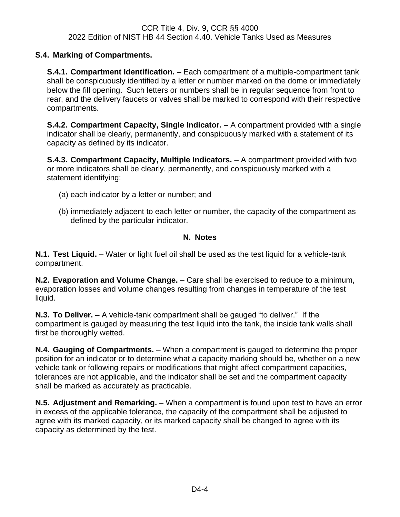#### CCR Title 4, Div. 9, CCR §§ 4000 2022 Edition of NIST HB 44 Section 4.40. Vehicle Tanks Used as Measures

#### <span id="page-7-0"></span>**S.4. Marking of Compartments.**

<span id="page-7-1"></span>**S.4.1. Compartment Identification.** – Each compartment of a multiple-compartment tank shall be conspicuously identified by a letter or number marked on the dome or immediately below the fill opening. Such letters or numbers shall be in regular sequence from front to rear, and the delivery faucets or valves shall be marked to correspond with their respective compartments.

<span id="page-7-2"></span>**S.4.2. Compartment Capacity, Single Indicator.** – A compartment provided with a single indicator shall be clearly, permanently, and conspicuously marked with a statement of its capacity as defined by its indicator.

<span id="page-7-3"></span>**S.4.3. Compartment Capacity, Multiple Indicators.** – A compartment provided with two or more indicators shall be clearly, permanently, and conspicuously marked with a statement identifying:

- (a) each indicator by a letter or number; and
- (b) immediately adjacent to each letter or number, the capacity of the compartment as defined by the particular indicator.

#### **N. Notes**

<span id="page-7-5"></span><span id="page-7-4"></span>**N.1. Test Liquid.** – Water or light fuel oil shall be used as the test liquid for a vehicle-tank compartment.

<span id="page-7-6"></span>**N.2. Evaporation and Volume Change.** – Care shall be exercised to reduce to a minimum, evaporation losses and volume changes resulting from changes in temperature of the test liquid.

<span id="page-7-7"></span>**N.3. To Deliver.** – A vehicle-tank compartment shall be gauged "to deliver." If the compartment is gauged by measuring the test liquid into the tank, the inside tank walls shall first be thoroughly wetted.

<span id="page-7-8"></span>**N.4. Gauging of Compartments.** – When a compartment is gauged to determine the proper position for an indicator or to determine what a capacity marking should be, whether on a new vehicle tank or following repairs or modifications that might affect compartment capacities, tolerances are not applicable, and the indicator shall be set and the compartment capacity shall be marked as accurately as practicable.

<span id="page-7-9"></span>**N.5. Adjustment and Remarking.** – When a compartment is found upon test to have an error in excess of the applicable tolerance, the capacity of the compartment shall be adjusted to agree with its marked capacity, or its marked capacity shall be changed to agree with its capacity as determined by the test.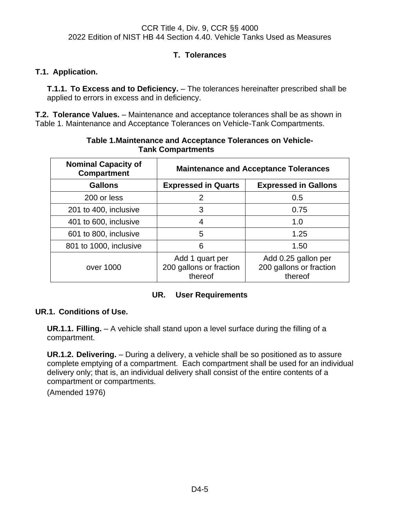#### **T. Tolerances**

#### <span id="page-8-1"></span><span id="page-8-0"></span>**T.1. Application.**

<span id="page-8-2"></span>**T.1.1. To Excess and to Deficiency.** – The tolerances hereinafter prescribed shall be applied to errors in excess and in deficiency.

<span id="page-8-3"></span>**T.2. Tolerance Values.** – Maintenance and acceptance tolerances shall be as shown in Table 1. Maintenance and Acceptance Tolerances on Vehicle-Tank Compartments.

| <b>Nominal Capacity of</b><br><b>Compartment</b> | <b>Maintenance and Acceptance Tolerances</b>          |                                                           |  |
|--------------------------------------------------|-------------------------------------------------------|-----------------------------------------------------------|--|
| <b>Gallons</b>                                   | <b>Expressed in Quarts</b>                            | <b>Expressed in Gallons</b>                               |  |
| 200 or less                                      | 2                                                     | 0.5                                                       |  |
| 201 to 400, inclusive                            | 3                                                     | 0.75                                                      |  |
| 401 to 600, inclusive                            | 4                                                     | 1.0                                                       |  |
| 601 to 800, inclusive                            | 5                                                     | 1.25                                                      |  |
| 801 to 1000, inclusive                           | 6                                                     | 1.50                                                      |  |
| over 1000                                        | Add 1 quart per<br>200 gallons or fraction<br>thereof | Add 0.25 gallon per<br>200 gallons or fraction<br>thereof |  |

#### **Table 1.Maintenance and Acceptance Tolerances on Vehicle-Tank Compartments**

#### **UR. User Requirements**

#### <span id="page-8-5"></span><span id="page-8-4"></span>**UR.1. Conditions of Use.**

<span id="page-8-6"></span>**UR.1.1. Filling.** – A vehicle shall stand upon a level surface during the filling of a compartment.

<span id="page-8-7"></span>**UR.1.2. Delivering.** – During a delivery, a vehicle shall be so positioned as to assure complete emptying of a compartment. Each compartment shall be used for an individual delivery only; that is, an individual delivery shall consist of the entire contents of a compartment or compartments.

(Amended 1976)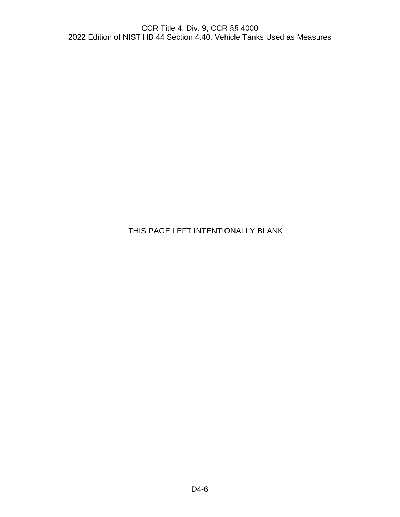# THIS PAGE LEFT INTENTIONALLY BLANK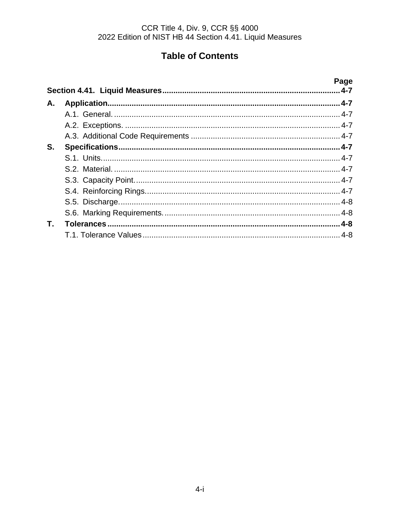# CCR Title 4, Div. 9, CCR §§ 4000<br>2022 Edition of NIST HB 44 Section 4.41. Liquid Measures

# **Table of Contents**

|    | Page |
|----|------|
| А. |      |
|    |      |
|    |      |
|    |      |
| S. |      |
|    |      |
|    |      |
|    |      |
|    |      |
|    |      |
|    |      |
| Τ. |      |
|    |      |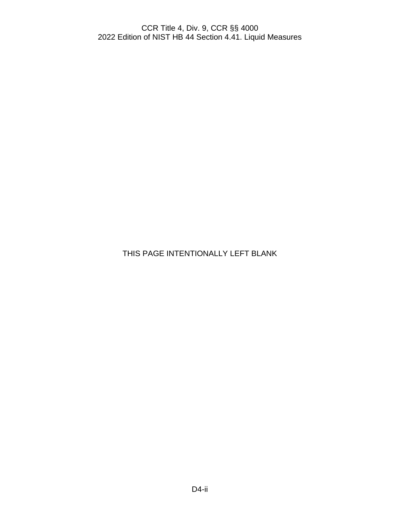#### CCR Title 4, Div. 9, CCR §§ 4000 2022 Edition of NIST HB 44 Section 4.41. Liquid Measures

### THIS PAGE INTENTIONALLY LEFT BLANK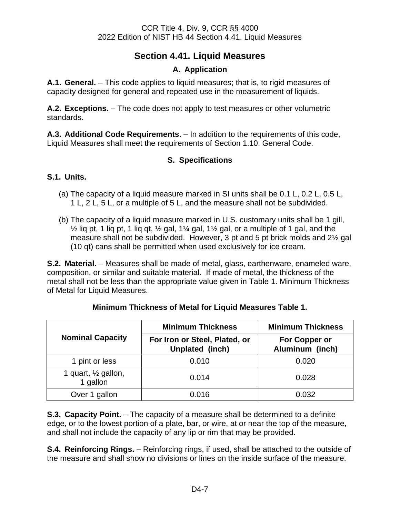# **Section 4.41. Liquid Measures**

#### **A. Application**

<span id="page-12-2"></span><span id="page-12-1"></span><span id="page-12-0"></span>**A.1. General.** – This code applies to liquid measures; that is, to rigid measures of capacity designed for general and repeated use in the measurement of liquids.

<span id="page-12-3"></span>**A.2. Exceptions.** – The code does not apply to test measures or other volumetric standards.

<span id="page-12-4"></span>**A.3. Additional Code Requirements**. – In addition to the requirements of this code, Liquid Measures shall meet the requirements of Section 1.10. General Code.

#### **S. Specifications**

#### <span id="page-12-6"></span><span id="page-12-5"></span>**S.1. Units.**

- (a) The capacity of a liquid measure marked in SI units shall be 0.1 L, 0.2 L, 0.5 L, 1 L, 2 L, 5 L, or a multiple of 5 L, and the measure shall not be subdivided.
- (b) The capacity of a liquid measure marked in U.S. customary units shall be 1 gill,  $\frac{1}{2}$  liq pt, 1 liq pt, 1 liq qt,  $\frac{1}{2}$  gal, 1<sup>1</sup>/<sub>2</sub> gal, or a multiple of 1 gal, and the measure shall not be subdivided. However, 3 pt and 5 pt brick molds and 2½ gal (10 qt) cans shall be permitted when used exclusively for ice cream.

<span id="page-12-7"></span>**S.2. Material.** – Measures shall be made of metal, glass, earthenware, enameled ware, composition, or similar and suitable material. If made of metal, the thickness of the metal shall not be less than the appropriate value given in Table 1. Minimum Thickness of Metal for Liquid Measures.

|                                            | <b>Minimum Thickness</b>                         | <b>Minimum Thickness</b>         |  |
|--------------------------------------------|--------------------------------------------------|----------------------------------|--|
| <b>Nominal Capacity</b>                    | For Iron or Steel, Plated, or<br>Unplated (inch) | For Copper or<br>Aluminum (inch) |  |
| 1 pint or less                             | 0.010                                            | 0.020                            |  |
| 1 quart, $\frac{1}{2}$ gallon,<br>1 gallon | 0.014                                            | 0.028                            |  |
| Over 1 gallon                              | 0.016                                            | 0.032                            |  |

#### **Minimum Thickness of Metal for Liquid Measures Table 1.**

<span id="page-12-8"></span>**S.3. Capacity Point.** – The capacity of a measure shall be determined to a definite edge, or to the lowest portion of a plate, bar, or wire, at or near the top of the measure, and shall not include the capacity of any lip or rim that may be provided.

<span id="page-12-9"></span>**S.4. Reinforcing Rings.** – Reinforcing rings, if used, shall be attached to the outside of the measure and shall show no divisions or lines on the inside surface of the measure.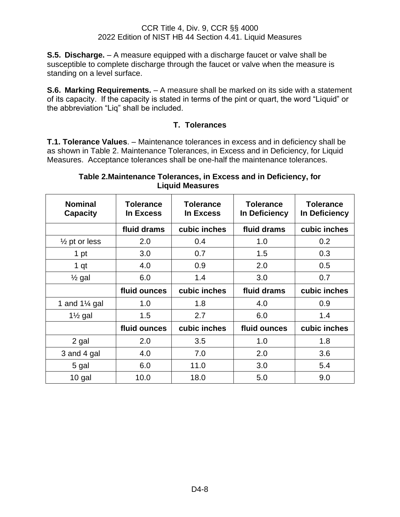<span id="page-13-0"></span>**S.5. Discharge.** – A measure equipped with a discharge faucet or valve shall be susceptible to complete discharge through the faucet or valve when the measure is standing on a level surface.

<span id="page-13-1"></span>**S.6. Marking Requirements.** – A measure shall be marked on its side with a statement of its capacity. If the capacity is stated in terms of the pint or quart, the word "Liquid" or the abbreviation "Liq" shall be included.

#### **T. Tolerances**

<span id="page-13-3"></span><span id="page-13-2"></span>**T.1. Tolerance Values**. – Maintenance tolerances in excess and in deficiency shall be as shown in Table 2. Maintenance Tolerances, in Excess and in Deficiency, for Liquid Measures. Acceptance tolerances shall be one-half the maintenance tolerances.

#### **Table 2.Maintenance Tolerances, in Excess and in Deficiency, for Liquid Measures**

| <b>Nominal</b><br><b>Capacity</b> | <b>Tolerance</b><br>In Excess | Tolerance<br><b>In Excess</b> | <b>Tolerance</b><br>In Deficiency | <b>Tolerance</b><br>In Deficiency |
|-----------------------------------|-------------------------------|-------------------------------|-----------------------------------|-----------------------------------|
|                                   | fluid drams                   | cubic inches                  | fluid drams                       | cubic inches                      |
| $\frac{1}{2}$ pt or less          | 2.0                           | 0.4                           | 1.0                               | 0.2                               |
| 1 pt                              | 3.0                           | 0.7                           | 1.5                               | 0.3                               |
| 1 <sub>qt</sub>                   | 4.0                           | 0.9                           | 2.0                               | 0.5                               |
| $\frac{1}{2}$ gal                 | 6.0                           | 1.4                           | 3.0                               | 0.7                               |
|                                   | fluid ounces                  | cubic inches                  | fluid drams                       | cubic inches                      |
| 1 and $1\%$ gal                   | 1.0                           | 1.8                           | 4.0                               | 0.9                               |
| $1\frac{1}{2}$ gal                | 1.5                           | 2.7                           | 6.0                               | 1.4                               |
|                                   | fluid ounces                  | cubic inches                  | fluid ounces                      | cubic inches                      |
| 2 gal                             | 2.0                           | 3.5                           | 1.0                               | 1.8                               |
| 3 and 4 gal                       | 4.0                           | 7.0                           | 2.0                               | 3.6                               |
| 5 gal                             | 6.0                           | 11.0                          | 3.0                               | 5.4                               |
| 10 gal                            | 10.0                          | 18.0                          | 5.0                               | 9.0                               |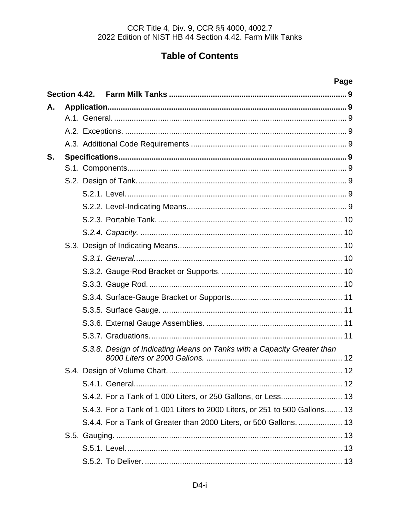# CCR Title 4, Div. 9, CCR §§ 4000, 4002.7<br>2022 Edition of NIST HB 44 Section 4.42. Farm Milk Tanks

# **Table of Contents**

|    | Section 4.42. |                                                                            |
|----|---------------|----------------------------------------------------------------------------|
| А. |               |                                                                            |
|    |               |                                                                            |
|    |               |                                                                            |
|    |               |                                                                            |
| S. |               |                                                                            |
|    |               |                                                                            |
|    |               |                                                                            |
|    |               |                                                                            |
|    |               |                                                                            |
|    |               |                                                                            |
|    |               |                                                                            |
|    |               |                                                                            |
|    |               |                                                                            |
|    |               |                                                                            |
|    |               |                                                                            |
|    |               |                                                                            |
|    |               |                                                                            |
|    |               |                                                                            |
|    |               |                                                                            |
|    |               | S.3.8. Design of Indicating Means on Tanks with a Capacity Greater than    |
|    |               |                                                                            |
|    |               |                                                                            |
|    |               |                                                                            |
|    |               | S.4.3. For a Tank of 1 001 Liters to 2000 Liters, or 251 to 500 Gallons 13 |
|    |               | S.4.4. For a Tank of Greater than 2000 Liters, or 500 Gallons.  13         |
|    |               |                                                                            |
|    |               |                                                                            |
|    |               |                                                                            |
|    |               |                                                                            |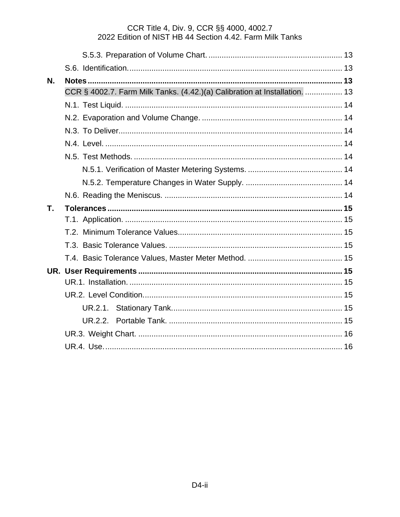# CCR Title 4, Div. 9, CCR §§ 4000, 4002.7<br>2022 Edition of NIST HB 44 Section 4.42. Farm Milk Tanks

| N. |                                                                            |  |
|----|----------------------------------------------------------------------------|--|
|    | CCR § 4002.7. Farm Milk Tanks. (4.42.)(a) Calibration at Installation.  13 |  |
|    |                                                                            |  |
|    |                                                                            |  |
|    |                                                                            |  |
|    |                                                                            |  |
|    |                                                                            |  |
|    |                                                                            |  |
|    |                                                                            |  |
|    |                                                                            |  |
| T. |                                                                            |  |
|    |                                                                            |  |
|    |                                                                            |  |
|    |                                                                            |  |
|    |                                                                            |  |
|    |                                                                            |  |
|    |                                                                            |  |
|    |                                                                            |  |
|    |                                                                            |  |
|    |                                                                            |  |
|    |                                                                            |  |
|    |                                                                            |  |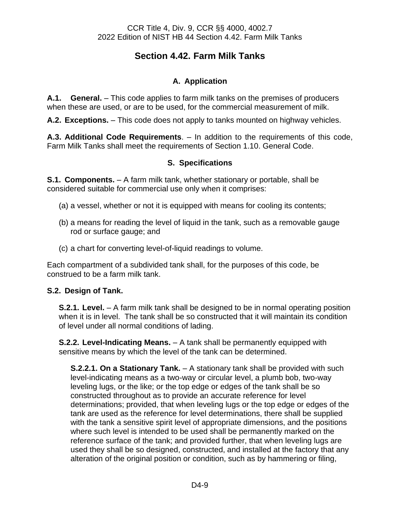# **Section 4.42. Farm Milk Tanks**

#### **A. Application**

<span id="page-16-2"></span><span id="page-16-1"></span><span id="page-16-0"></span>**A.1. General.** – This code applies to farm milk tanks on the premises of producers when these are used, or are to be used, for the commercial measurement of milk.

<span id="page-16-3"></span>**A.2. Exceptions.** – This code does not apply to tanks mounted on highway vehicles.

<span id="page-16-4"></span>**A.3. Additional Code Requirements**. – In addition to the requirements of this code, Farm Milk Tanks shall meet the requirements of Section 1.10. General Code.

#### **S. Specifications**

<span id="page-16-6"></span><span id="page-16-5"></span>**S.1. Components.** – A farm milk tank, whether stationary or portable, shall be considered suitable for commercial use only when it comprises:

- (a) a vessel, whether or not it is equipped with means for cooling its contents;
- (b) a means for reading the level of liquid in the tank, such as a removable gauge rod or surface gauge; and
- (c) a chart for converting level-of-liquid readings to volume.

Each compartment of a subdivided tank shall, for the purposes of this code, be construed to be a farm milk tank.

#### <span id="page-16-7"></span>**S.2. Design of Tank.**

<span id="page-16-8"></span>**S.2.1. Level.** – A farm milk tank shall be designed to be in normal operating position when it is in level. The tank shall be so constructed that it will maintain its condition of level under all normal conditions of lading.

<span id="page-16-9"></span>**S.2.2. Level-Indicating Means.** – A tank shall be permanently equipped with sensitive means by which the level of the tank can be determined.

**S.2.2.1. On a Stationary Tank.** – A stationary tank shall be provided with such level-indicating means as a two-way or circular level, a plumb bob, two-way leveling lugs, or the like; or the top edge or edges of the tank shall be so constructed throughout as to provide an accurate reference for level determinations; provided, that when leveling lugs or the top edge or edges of the tank are used as the reference for level determinations, there shall be supplied with the tank a sensitive spirit level of appropriate dimensions, and the positions where such level is intended to be used shall be permanently marked on the reference surface of the tank; and provided further, that when leveling lugs are used they shall be so designed, constructed, and installed at the factory that any alteration of the original position or condition, such as by hammering or filing,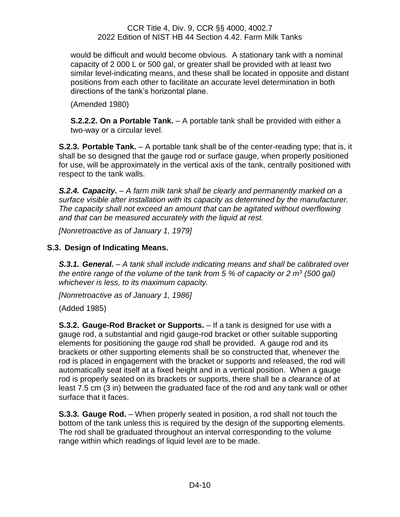#### CCR Title 4, Div. 9, CCR §§ 4000, 4002.7 2022 Edition of NIST HB 44 Section 4.42. Farm Milk Tanks

would be difficult and would become obvious. A stationary tank with a nominal capacity of 2 000 L or 500 gal, or greater shall be provided with at least two similar level-indicating means, and these shall be located in opposite and distant positions from each other to facilitate an accurate level determination in both directions of the tank's horizontal plane.

(Amended 1980)

**S.2.2.2. On a Portable Tank.** – A portable tank shall be provided with either a two-way or a circular level.

<span id="page-17-0"></span>**S.2.3. Portable Tank.** – A portable tank shall be of the center-reading type; that is, it shall be so designed that the gauge rod or surface gauge, when properly positioned for use, will be approximately in the vertical axis of the tank, centrally positioned with respect to the tank walls.

<span id="page-17-1"></span>*S.2.4. Capacity.* – *A farm milk tank shall be clearly and permanently marked on a surface visible after installation with its capacity as determined by the manufacturer. The capacity shall not exceed an amount that can be agitated without overflowing and that can be measured accurately with the liquid at rest.*

*[Nonretroactive as of January 1, 1979]*

#### <span id="page-17-2"></span>**S.3. Design of Indicating Means.**

<span id="page-17-3"></span>*S.3.1. General.* – *A tank shall include indicating means and shall be calibrated over the entire range of the volume of the tank from 5 % of capacity or 2 m<sup>3</sup> (500 gal) whichever is less, to its maximum capacity.*

*[Nonretroactive as of January 1, 1986]*

(Added 1985)

<span id="page-17-4"></span>**S.3.2. Gauge-Rod Bracket or Supports.** – If a tank is designed for use with a gauge rod, a substantial and rigid gauge-rod bracket or other suitable supporting elements for positioning the gauge rod shall be provided. A gauge rod and its brackets or other supporting elements shall be so constructed that, whenever the rod is placed in engagement with the bracket or supports and released, the rod will automatically seat itself at a fixed height and in a vertical position. When a gauge rod is properly seated on its brackets or supports, there shall be a clearance of at least 7.5 cm (3 in) between the graduated face of the rod and any tank wall or other surface that it faces.

<span id="page-17-5"></span>**S.3.3. Gauge Rod.** – When properly seated in position, a rod shall not touch the bottom of the tank unless this is required by the design of the supporting elements. The rod shall be graduated throughout an interval corresponding to the volume range within which readings of liquid level are to be made.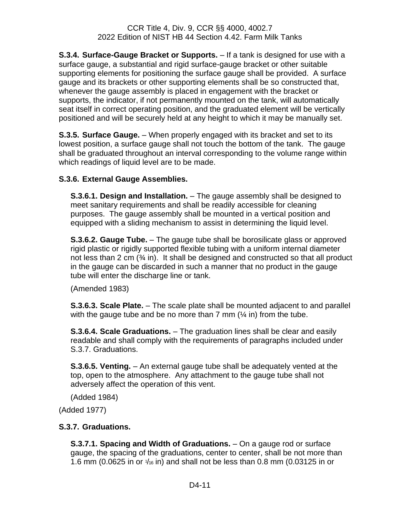<span id="page-18-0"></span>**S.3.4. Surface-Gauge Bracket or Supports.** – If a tank is designed for use with a surface gauge, a substantial and rigid surface-gauge bracket or other suitable supporting elements for positioning the surface gauge shall be provided. A surface gauge and its brackets or other supporting elements shall be so constructed that, whenever the gauge assembly is placed in engagement with the bracket or supports, the indicator, if not permanently mounted on the tank, will automatically seat itself in correct operating position, and the graduated element will be vertically positioned and will be securely held at any height to which it may be manually set.

<span id="page-18-1"></span>**S.3.5. Surface Gauge.** – When properly engaged with its bracket and set to its lowest position, a surface gauge shall not touch the bottom of the tank. The gauge shall be graduated throughout an interval corresponding to the volume range within which readings of liquid level are to be made.

#### <span id="page-18-2"></span>**S.3.6. External Gauge Assemblies.**

**S.3.6.1. Design and Installation.** – The gauge assembly shall be designed to meet sanitary requirements and shall be readily accessible for cleaning purposes. The gauge assembly shall be mounted in a vertical position and equipped with a sliding mechanism to assist in determining the liquid level.

**S.3.6.2. Gauge Tube.** – The gauge tube shall be borosilicate glass or approved rigid plastic or rigidly supported flexible tubing with a uniform internal diameter not less than 2 cm  $(34 \text{ in})$ . It shall be designed and constructed so that all product in the gauge can be discarded in such a manner that no product in the gauge tube will enter the discharge line or tank.

(Amended 1983)

**S.3.6.3. Scale Plate.** – The scale plate shall be mounted adjacent to and parallel with the gauge tube and be no more than 7 mm  $(4 \times n)$  from the tube.

**S.3.6.4. Scale Graduations.** – The graduation lines shall be clear and easily readable and shall comply with the requirements of paragraphs included under S.3.7. Graduations.

**S.3.6.5. Venting.** – An external gauge tube shall be adequately vented at the top, open to the atmosphere. Any attachment to the gauge tube shall not adversely affect the operation of this vent.

(Added 1984)

(Added 1977)

#### <span id="page-18-3"></span>**S.3.7. Graduations.**

**S.3.7.1. Spacing and Width of Graduations.** – On a gauge rod or surface gauge, the spacing of the graduations, center to center, shall be not more than 1.6 mm (0.0625 in or  $\frac{1}{16}$  in) and shall not be less than 0.8 mm (0.03125 in or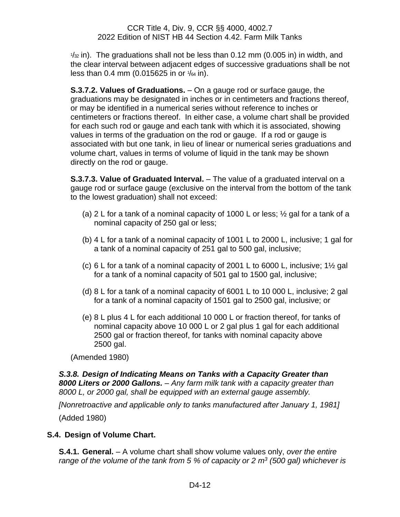#### CCR Title 4, Div. 9, CCR §§ 4000, 4002.7 2022 Edition of NIST HB 44 Section 4.42. Farm Milk Tanks

 $1/x$  in). The graduations shall not be less than 0.12 mm (0.005 in) in width, and the clear interval between adjacent edges of successive graduations shall be not less than 0.4 mm (0.015625 in or <sup>1</sup> /<sup>64</sup> in).

**S.3.7.2. Values of Graduations.** – On a gauge rod or surface gauge, the graduations may be designated in inches or in centimeters and fractions thereof, or may be identified in a numerical series without reference to inches or centimeters or fractions thereof. In either case, a volume chart shall be provided for each such rod or gauge and each tank with which it is associated, showing values in terms of the graduation on the rod or gauge. If a rod or gauge is associated with but one tank, in lieu of linear or numerical series graduations and volume chart, values in terms of volume of liquid in the tank may be shown directly on the rod or gauge.

**S.3.7.3. Value of Graduated Interval.** – The value of a graduated interval on a gauge rod or surface gauge (exclusive on the interval from the bottom of the tank to the lowest graduation) shall not exceed:

- (a) 2 L for a tank of a nominal capacity of 1000 L or less;  $\frac{1}{2}$  gal for a tank of a nominal capacity of 250 gal or less;
- (b) 4 L for a tank of a nominal capacity of 1001 L to 2000 L, inclusive; 1 gal for a tank of a nominal capacity of 251 gal to 500 gal, inclusive;
- (c) 6 L for a tank of a nominal capacity of 2001 L to 6000 L, inclusive; 1½ gal for a tank of a nominal capacity of 501 gal to 1500 gal, inclusive;
- (d) 8 L for a tank of a nominal capacity of 6001 L to 10 000 L, inclusive; 2 gal for a tank of a nominal capacity of 1501 gal to 2500 gal, inclusive; or
- (e) 8 L plus 4 L for each additional 10 000 L or fraction thereof, for tanks of nominal capacity above 10 000 L or 2 gal plus 1 gal for each additional 2500 gal or fraction thereof, for tanks with nominal capacity above 2500 gal.

(Amended 1980)

<span id="page-19-0"></span>*S.3.8. Design of Indicating Means on Tanks with a Capacity Greater than 8000 Liters or 2000 Gallons.* – *Any farm milk tank with a capacity greater than 8000 L, or 2000 gal, shall be equipped with an external gauge assembly.*

*[Nonretroactive and applicable only to tanks manufactured after January 1, 1981]* (Added 1980)

#### <span id="page-19-1"></span>**S.4. Design of Volume Chart.**

<span id="page-19-2"></span>**S.4.1. General.** – A volume chart shall show volume values only, *over the entire range of the volume of the tank from 5 % of capacity or 2 m<sup>3</sup> (500 gal) whichever is*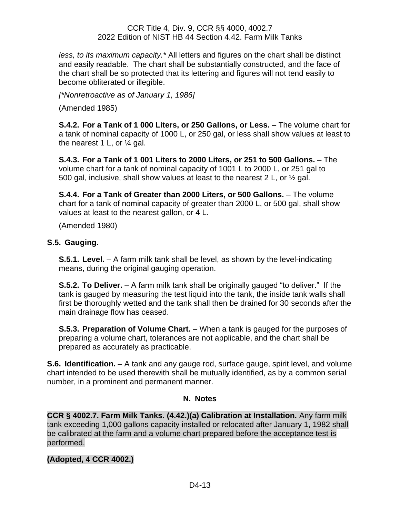#### CCR Title 4, Div. 9, CCR §§ 4000, 4002.7 2022 Edition of NIST HB 44 Section 4.42. Farm Milk Tanks

*less, to its maximum capacity.\** All letters and figures on the chart shall be distinct and easily readable. The chart shall be substantially constructed, and the face of the chart shall be so protected that its lettering and figures will not tend easily to become obliterated or illegible.

*[\*Nonretroactive as of January 1, 1986]*

(Amended 1985)

<span id="page-20-0"></span>**S.4.2. For a Tank of 1 000 Liters, or 250 Gallons, or Less.** – The volume chart for a tank of nominal capacity of 1000 L, or 250 gal, or less shall show values at least to the nearest 1 L, or  $\frac{1}{4}$  gal.

<span id="page-20-1"></span>**S.4.3. For a Tank of 1 001 Liters to 2000 Liters, or 251 to 500 Gallons.** – The volume chart for a tank of nominal capacity of 1001 L to 2000 L, or 251 gal to 500 gal, inclusive, shall show values at least to the nearest 2 L, or ½ gal.

<span id="page-20-2"></span>**S.4.4. For a Tank of Greater than 2000 Liters, or 500 Gallons.** – The volume chart for a tank of nominal capacity of greater than 2000 L, or 500 gal, shall show values at least to the nearest gallon, or 4 L.

(Amended 1980)

#### <span id="page-20-3"></span>**S.5. Gauging.**

<span id="page-20-4"></span>**S.5.1. Level.** – A farm milk tank shall be level, as shown by the level-indicating means, during the original gauging operation.

<span id="page-20-5"></span>**S.5.2. To Deliver.** – A farm milk tank shall be originally gauged "to deliver." If the tank is gauged by measuring the test liquid into the tank, the inside tank walls shall first be thoroughly wetted and the tank shall then be drained for 30 seconds after the main drainage flow has ceased.

<span id="page-20-6"></span>**S.5.3. Preparation of Volume Chart.** – When a tank is gauged for the purposes of preparing a volume chart, tolerances are not applicable, and the chart shall be prepared as accurately as practicable.

<span id="page-20-7"></span>**S.6. Identification.** – A tank and any gauge rod, surface gauge, spirit level, and volume chart intended to be used therewith shall be mutually identified, as by a common serial number, in a prominent and permanent manner.

#### **N. Notes**

<span id="page-20-9"></span><span id="page-20-8"></span>**CCR § 4002.7. Farm Milk Tanks. (4.42.)(a) Calibration at Installation.** Any farm milk tank exceeding 1,000 gallons capacity installed or relocated after January 1, 1982 shall be calibrated at the farm and a volume chart prepared before the acceptance test is performed.

#### **(Adopted, 4 CCR 4002.)**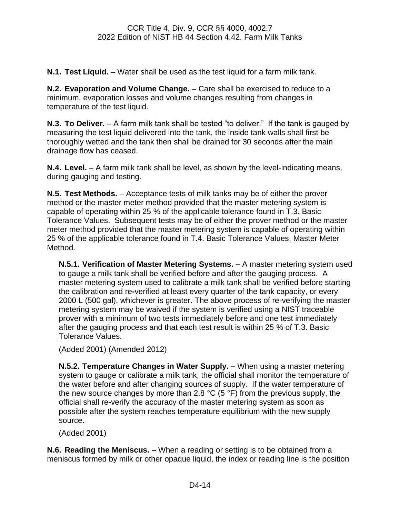<span id="page-21-0"></span>**N.1. Test Liquid.** – Water shall be used as the test liquid for a farm milk tank.

<span id="page-21-1"></span>**N.2. Evaporation and Volume Change.** – Care shall be exercised to reduce to a minimum, evaporation losses and volume changes resulting from changes in temperature of the test liquid.

<span id="page-21-2"></span>**N.3. To Deliver.** – A farm milk tank shall be tested "to deliver." If the tank is gauged by measuring the test liquid delivered into the tank, the inside tank walls shall first be thoroughly wetted and the tank then shall be drained for 30 seconds after the main drainage flow has ceased.

<span id="page-21-3"></span>**N.4. Level.** – A farm milk tank shall be level, as shown by the level-indicating means, during gauging and testing.

<span id="page-21-4"></span>**N.5. Test Methods.** – Acceptance tests of milk tanks may be of either the prover method or the master meter method provided that the master metering system is capable of operating within 25 % of the applicable tolerance found in T.3. Basic Tolerance Values. Subsequent tests may be of either the prover method or the master meter method provided that the master metering system is capable of operating within 25 % of the applicable tolerance found in T.4. Basic Tolerance Values, Master Meter Method.

<span id="page-21-5"></span>**N.5.1. Verification of Master Metering Systems.** – A master metering system used to gauge a milk tank shall be verified before and after the gauging process. A master metering system used to calibrate a milk tank shall be verified before starting the calibration and re**-**verified at least every quarter of the tank capacity, or every 2000 L (500 gal), whichever is greater. The above process of re-verifying the master metering system may be waived if the system is verified using a NIST traceable prover with a minimum of two tests immediately before and one test immediately after the gauging process and that each test result is within 25 % of T.3. Basic Tolerance Values.

(Added 2001) (Amended 2012)

<span id="page-21-6"></span>**N.5.2. Temperature Changes in Water Supply.** – When using a master metering system to gauge or calibrate a milk tank, the official shall monitor the temperature of the water before and after changing sources of supply. If the water temperature of the new source changes by more than 2.8  $^{\circ}C$  (5  $^{\circ}F$ ) from the previous supply, the official shall re-verify the accuracy of the master metering system as soon as possible after the system reaches temperature equilibrium with the new supply source.

(Added 2001)

<span id="page-21-7"></span>**N.6. Reading the Meniscus.** – When a reading or setting is to be obtained from a meniscus formed by milk or other opaque liquid, the index or reading line is the position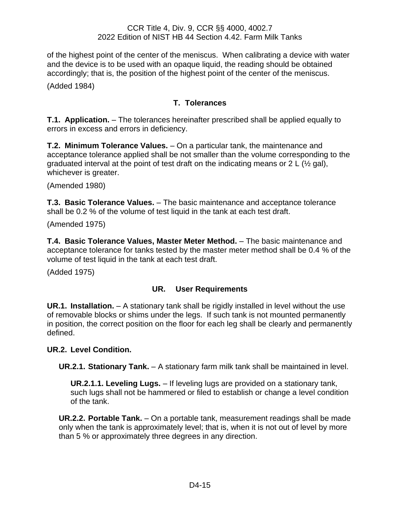#### CCR Title 4, Div. 9, CCR §§ 4000, 4002.7 2022 Edition of NIST HB 44 Section 4.42. Farm Milk Tanks

of the highest point of the center of the meniscus. When calibrating a device with water and the device is to be used with an opaque liquid, the reading should be obtained accordingly; that is, the position of the highest point of the center of the meniscus.

(Added 1984)

#### **T. Tolerances**

<span id="page-22-1"></span><span id="page-22-0"></span>**T.1. Application.** – The tolerances hereinafter prescribed shall be applied equally to errors in excess and errors in deficiency.

<span id="page-22-2"></span>**T.2. Minimum Tolerance Values.** – On a particular tank, the maintenance and acceptance tolerance applied shall be not smaller than the volume corresponding to the graduated interval at the point of test draft on the indicating means or  $2 \mathsf{L}$  ( $\frac{1}{2}$  gal), whichever is greater.

(Amended 1980)

<span id="page-22-3"></span>**T.3. Basic Tolerance Values.** – The basic maintenance and acceptance tolerance shall be 0.2 % of the volume of test liquid in the tank at each test draft.

(Amended 1975)

<span id="page-22-4"></span>**T.4. Basic Tolerance Values, Master Meter Method.** – The basic maintenance and acceptance tolerance for tanks tested by the master meter method shall be 0.4 % of the volume of test liquid in the tank at each test draft.

<span id="page-22-5"></span>(Added 1975)

#### **UR. User Requirements**

<span id="page-22-6"></span>**UR.1. Installation.** – A stationary tank shall be rigidly installed in level without the use of removable blocks or shims under the legs. If such tank is not mounted permanently in position, the correct position on the floor for each leg shall be clearly and permanently defined.

#### <span id="page-22-7"></span>**UR.2. Level Condition.**

<span id="page-22-8"></span>**UR.2.1. Stationary Tank.** – A stationary farm milk tank shall be maintained in level.

**UR.2.1.1. Leveling Lugs.** – If leveling lugs are provided on a stationary tank, such lugs shall not be hammered or filed to establish or change a level condition of the tank.

<span id="page-22-9"></span>**UR.2.2. Portable Tank.** – On a portable tank, measurement readings shall be made only when the tank is approximately level; that is, when it is not out of level by more than 5 % or approximately three degrees in any direction.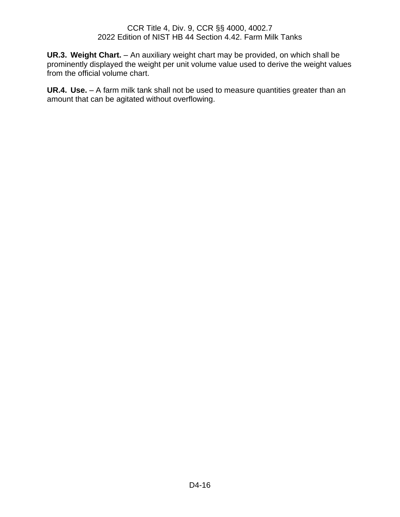#### CCR Title 4, Div. 9, CCR §§ 4000, 4002.7 2022 Edition of NIST HB 44 Section 4.42. Farm Milk Tanks

<span id="page-23-0"></span>**UR.3. Weight Chart.** – An auxiliary weight chart may be provided, on which shall be prominently displayed the weight per unit volume value used to derive the weight values from the official volume chart.

<span id="page-23-1"></span>**UR.4. Use.** – A farm milk tank shall not be used to measure quantities greater than an amount that can be agitated without overflowing.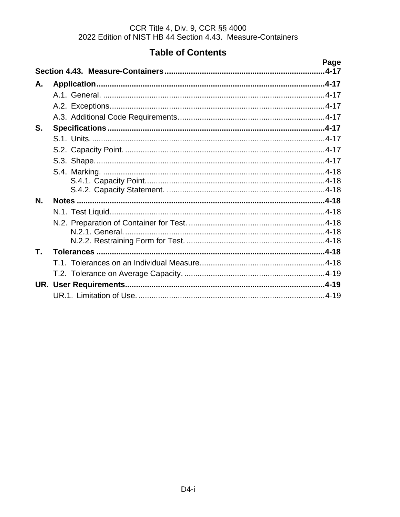# **Table of Contents**

|    | Page |
|----|------|
| А. |      |
|    |      |
|    |      |
|    |      |
| S. |      |
|    |      |
|    |      |
|    |      |
|    |      |
|    |      |
|    |      |
| N. |      |
|    |      |
|    |      |
|    |      |
|    |      |
| Τ. |      |
|    |      |
|    |      |
|    |      |
|    |      |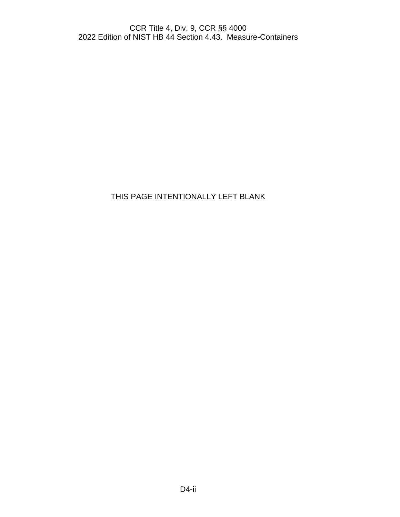### THIS PAGE INTENTIONALLY LEFT BLANK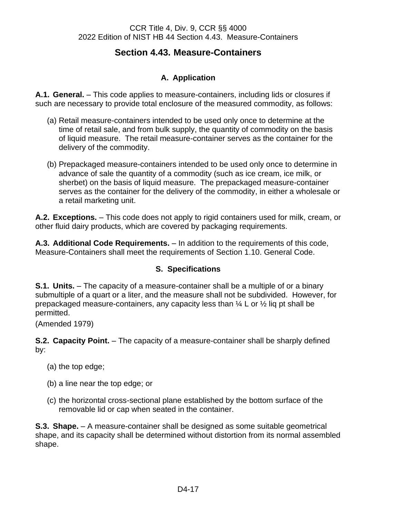#### **Section 4.43. Measure-Containers**

#### **A. Application**

<span id="page-26-2"></span><span id="page-26-1"></span><span id="page-26-0"></span>**A.1. General.** – This code applies to measure-containers, including lids or closures if such are necessary to provide total enclosure of the measured commodity, as follows:

- (a) Retail measure-containers intended to be used only once to determine at the time of retail sale, and from bulk supply, the quantity of commodity on the basis of liquid measure. The retail measure-container serves as the container for the delivery of the commodity.
- (b) Prepackaged measure-containers intended to be used only once to determine in advance of sale the quantity of a commodity (such as ice cream, ice milk, or sherbet) on the basis of liquid measure. The prepackaged measure-container serves as the container for the delivery of the commodity, in either a wholesale or a retail marketing unit.

<span id="page-26-3"></span>**A.2. Exceptions.** – This code does not apply to rigid containers used for milk, cream, or other fluid dairy products, which are covered by packaging requirements.

<span id="page-26-4"></span>**A.3. Additional Code Requirements.** – In addition to the requirements of this code, Measure-Containers shall meet the requirements of Section 1.10. General Code.

#### **S. Specifications**

<span id="page-26-6"></span><span id="page-26-5"></span>**S.1. Units.** – The capacity of a measure-container shall be a multiple of or a binary submultiple of a quart or a liter, and the measure shall not be subdivided. However, for prepackaged measure-containers, any capacity less than  $\frac{1}{4}$  L or  $\frac{1}{2}$  liq pt shall be permitted.

(Amended 1979)

<span id="page-26-7"></span>**S.2. Capacity Point.** – The capacity of a measure-container shall be sharply defined by:

- (a) the top edge;
- (b) a line near the top edge; or
- (c) the horizontal cross-sectional plane established by the bottom surface of the removable lid or cap when seated in the container.

<span id="page-26-8"></span>**S.3. Shape.** – A measure-container shall be designed as some suitable geometrical shape, and its capacity shall be determined without distortion from its normal assembled shape.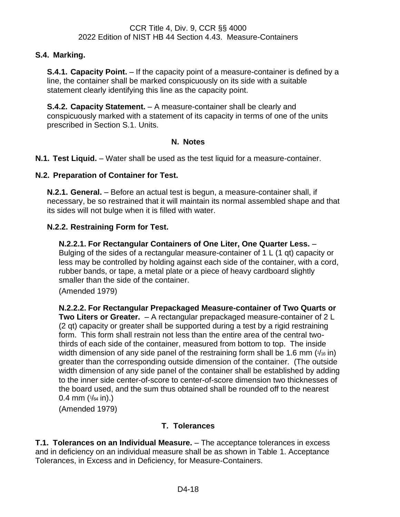#### <span id="page-27-0"></span>**S.4. Marking.**

<span id="page-27-1"></span>**S.4.1. Capacity Point.** – If the capacity point of a measure-container is defined by a line, the container shall be marked conspicuously on its side with a suitable statement clearly identifying this line as the capacity point.

<span id="page-27-2"></span>**S.4.2. Capacity Statement.** – A measure-container shall be clearly and conspicuously marked with a statement of its capacity in terms of one of the units prescribed in Section S.1. Units.

#### **N. Notes**

<span id="page-27-4"></span><span id="page-27-3"></span>**N.1. Test Liquid.** – Water shall be used as the test liquid for a measure-container.

#### <span id="page-27-5"></span>**N.2. Preparation of Container for Test.**

<span id="page-27-6"></span>**N.2.1. General.** – Before an actual test is begun, a measure-container shall, if necessary, be so restrained that it will maintain its normal assembled shape and that its sides will not bulge when it is filled with water.

#### <span id="page-27-7"></span>**N.2.2. Restraining Form for Test.**

**N.2.2.1. For Rectangular Containers of One Liter, One Quarter Less.** – Bulging of the sides of a rectangular measure-container of 1 L (1 qt) capacity or less may be controlled by holding against each side of the container, with a cord, rubber bands, or tape, a metal plate or a piece of heavy cardboard slightly smaller than the side of the container.

(Amended 1979)

**N.2.2.2. For Rectangular Prepackaged Measure-container of Two Quarts or Two Liters or Greater.** – A rectangular prepackaged measure-container of 2 L (2 qt) capacity or greater shall be supported during a test by a rigid restraining form. This form shall restrain not less than the entire area of the central twothirds of each side of the container, measured from bottom to top. The inside width dimension of any side panel of the restraining form shall be 1.6 mm  $(1/16$  in) greater than the corresponding outside dimension of the container. (The outside width dimension of any side panel of the container shall be established by adding to the inner side center-of-score to center-of-score dimension two thicknesses of the board used, and the sum thus obtained shall be rounded off to the nearest  $0.4 \, \text{mm}$  ( $\frac{1}{64} \, \text{in}$ ).)

(Amended 1979)

#### **T. Tolerances**

<span id="page-27-9"></span><span id="page-27-8"></span>**T.1. Tolerances on an Individual Measure.** – The acceptance tolerances in excess and in deficiency on an individual measure shall be as shown in Table 1. Acceptance Tolerances, in Excess and in Deficiency, for Measure-Containers.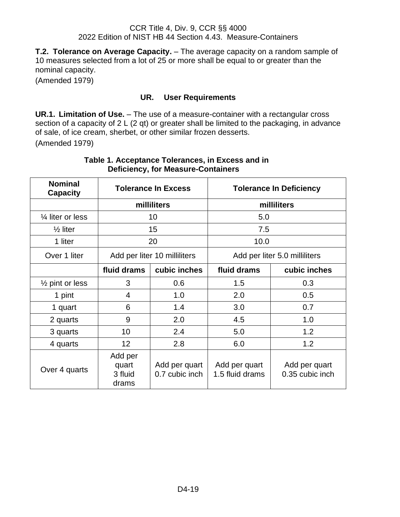<span id="page-28-0"></span>**T.2. Tolerance on Average Capacity.** – The average capacity on a random sample of 10 measures selected from a lot of 25 or more shall be equal to or greater than the nominal capacity.

<span id="page-28-1"></span>(Amended 1979)

#### **UR. User Requirements**

<span id="page-28-2"></span>**UR.1. Limitation of Use.** – The use of a measure-container with a rectangular cross section of a capacity of 2 L (2 qt) or greater shall be limited to the packaging, in advance of sale, of ice cream, sherbet, or other similar frozen desserts. (Amended 1979)

| <b>Nominal</b><br><b>Capacity</b> | <b>Tolerance In Excess</b>           |                                 | <b>Tolerance In Deficiency</b>   |                                  |  |
|-----------------------------------|--------------------------------------|---------------------------------|----------------------------------|----------------------------------|--|
|                                   |                                      | milliliters                     |                                  | milliliters                      |  |
| $\frac{1}{4}$ liter or less       |                                      | 10                              | 5.0                              |                                  |  |
| $\frac{1}{2}$ liter               |                                      | 15                              |                                  | 7.5                              |  |
| 1 liter                           |                                      | 20                              | 10.0                             |                                  |  |
| Over 1 liter                      | Add per liter 10 milliliters         |                                 |                                  | Add per liter 5.0 milliliters    |  |
|                                   | fluid drams                          | cubic inches                    | fluid drams                      | cubic inches                     |  |
| $\frac{1}{2}$ pint or less        | 3                                    | 0.6                             | 1.5                              | 0.3                              |  |
| 1 pint                            | $\overline{4}$                       | 1.0                             | 2.0                              | 0.5                              |  |
| 1 quart                           | 6                                    | 1.4                             | 3.0                              | 0.7                              |  |
| 2 quarts                          | 9                                    | 2.0                             | 4.5                              | 1.0                              |  |
| 3 quarts                          | 10                                   | 2.4                             | 5.0                              | 1.2                              |  |
| 4 quarts                          | 12                                   | 2.8                             | 6.0                              | 1.2                              |  |
| Over 4 quarts                     | Add per<br>quart<br>3 fluid<br>drams | Add per quart<br>0.7 cubic inch | Add per quart<br>1.5 fluid drams | Add per quart<br>0.35 cubic inch |  |

#### **Table 1. Acceptance Tolerances, in Excess and in Deficiency, for Measure-Containers**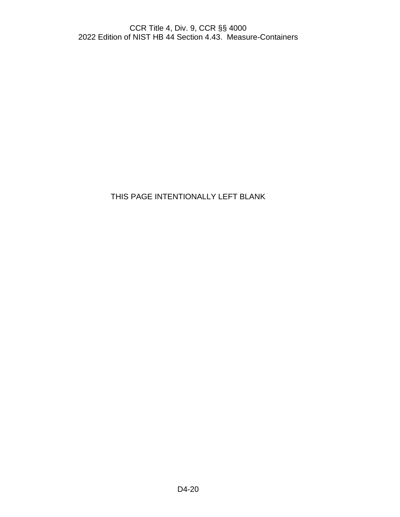### THIS PAGE INTENTIONALLY LEFT BLANK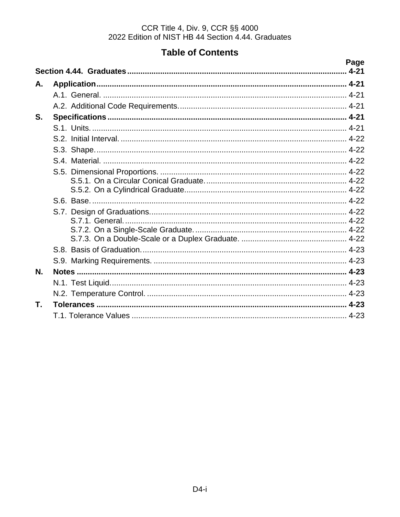# **Table of Contents**

|    | Page |
|----|------|
| Α. |      |
|    |      |
|    |      |
| S. |      |
|    |      |
|    |      |
|    |      |
|    |      |
|    |      |
|    |      |
|    |      |
|    |      |
|    |      |
|    |      |
|    |      |
|    |      |
|    |      |
| N. |      |
|    |      |
|    |      |
| Τ. |      |
|    |      |
|    |      |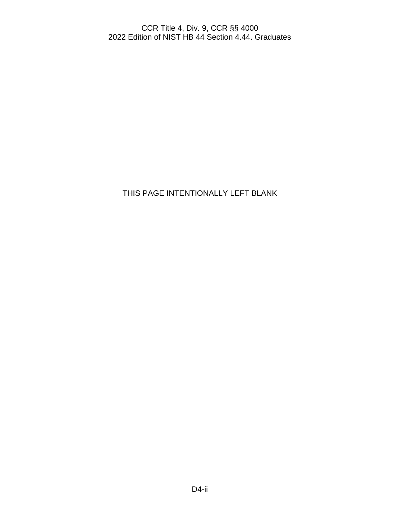# THIS PAGE INTENTIONALLY LEFT BLANK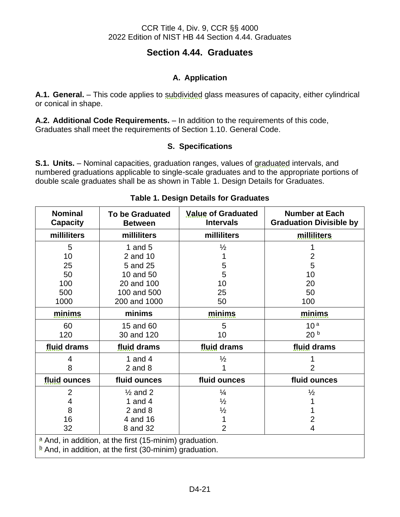### **Section 4.44. Graduates**

#### **A. Application**

<span id="page-32-2"></span><span id="page-32-1"></span><span id="page-32-0"></span>**A.1. General.** – This code applies to subdivided glass measures of capacity, either cylindrical or conical in shape.

<span id="page-32-3"></span>**A.2. Additional Code Requirements.** – In addition to the requirements of this code, Graduates shall meet the requirements of Section 1.10. General Code.

#### **S. Specifications**

<span id="page-32-5"></span><span id="page-32-4"></span>**S.1. Units.** – Nominal capacities, graduation ranges, values of graduated intervals, and numbered graduations applicable to single-scale graduates and to the appropriate portions of double scale graduates shall be as shown in Table 1. Design Details for Graduates.

| <b>Nominal</b><br><b>Capacity</b>                                                                                              | <b>To be Graduated</b><br><b>Between</b> | <b>Value of Graduated</b><br><b>Intervals</b> | <b>Number at Each</b><br><b>Graduation Divisible by</b> |
|--------------------------------------------------------------------------------------------------------------------------------|------------------------------------------|-----------------------------------------------|---------------------------------------------------------|
| milliliters                                                                                                                    | milliliters                              | milliliters                                   | milliliters                                             |
| 5                                                                                                                              | 1 and $5$                                | $\frac{1}{2}$                                 |                                                         |
| 10                                                                                                                             | 2 and 10                                 |                                               | $\overline{2}$                                          |
| 25                                                                                                                             | 5 and 25                                 | 5                                             | 5                                                       |
| 50                                                                                                                             | 10 and 50                                | 5                                             | 10                                                      |
| 100                                                                                                                            | 20 and 100                               | 10                                            | 20                                                      |
| 500                                                                                                                            | 100 and 500                              | 25                                            | 50                                                      |
| 1000                                                                                                                           | 200 and 1000                             | 50                                            | 100                                                     |
| minims                                                                                                                         | minims                                   | minims                                        | minims                                                  |
| 60                                                                                                                             | 15 and 60                                | 5                                             | 10 <sup>a</sup>                                         |
| 120                                                                                                                            | 30 and 120                               | 10                                            | 20 <sup>b</sup>                                         |
| fluid drams                                                                                                                    | fluid drams                              | fluid drams                                   | fluid drams                                             |
| 4                                                                                                                              | 1 and $4$                                | $\frac{1}{2}$                                 |                                                         |
| 8                                                                                                                              | $2$ and $8$                              |                                               | $\overline{2}$                                          |
| fluid ounces                                                                                                                   | fluid ounces                             | fluid ounces                                  | fluid ounces                                            |
| $\overline{2}$                                                                                                                 | $\frac{1}{2}$ and 2                      | $\frac{1}{4}$                                 | $\frac{1}{2}$                                           |
| 4                                                                                                                              | 1 and $4$                                | $\frac{1}{2}$                                 |                                                         |
| 8                                                                                                                              | $2$ and $8$                              | $\frac{1}{2}$                                 |                                                         |
| 16                                                                                                                             | 4 and 16                                 |                                               | 2                                                       |
| 32                                                                                                                             | 8 and 32                                 | $\overline{2}$                                | 4                                                       |
| a And, in addition, at the first (15-minim) graduation.<br>$\frac{h}{h}$ And, in addition, at the first (30-minim) graduation. |                                          |                                               |                                                         |

#### **Table 1. Design Details for Graduates**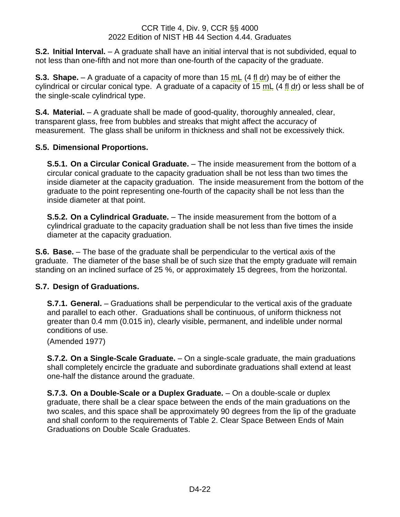<span id="page-33-0"></span>**S.2. Initial Interval.** – A graduate shall have an initial interval that is not subdivided, equal to not less than one-fifth and not more than one-fourth of the capacity of the graduate.

<span id="page-33-1"></span>**S.3. Shape.** – A graduate of a capacity of more than 15 mL (4 fl dr) may be of either the cylindrical or circular conical type. A graduate of a capacity of 15 mL (4 fl dr) or less shall be of the single-scale cylindrical type.

<span id="page-33-2"></span>**S.4. Material.** – A graduate shall be made of good-quality, thoroughly annealed, clear, transparent glass, free from bubbles and streaks that might affect the accuracy of measurement. The glass shall be uniform in thickness and shall not be excessively thick.

#### <span id="page-33-3"></span>**S.5. Dimensional Proportions.**

<span id="page-33-4"></span>**S.5.1. On a Circular Conical Graduate.** – The inside measurement from the bottom of a circular conical graduate to the capacity graduation shall be not less than two times the inside diameter at the capacity graduation. The inside measurement from the bottom of the graduate to the point representing one-fourth of the capacity shall be not less than the inside diameter at that point.

<span id="page-33-5"></span>**S.5.2. On a Cylindrical Graduate.** – The inside measurement from the bottom of a cylindrical graduate to the capacity graduation shall be not less than five times the inside diameter at the capacity graduation.

<span id="page-33-6"></span>**S.6. Base.** – The base of the graduate shall be perpendicular to the vertical axis of the graduate. The diameter of the base shall be of such size that the empty graduate will remain standing on an inclined surface of 25 %, or approximately 15 degrees, from the horizontal.

#### <span id="page-33-7"></span>**S.7. Design of Graduations.**

<span id="page-33-8"></span>**S.7.1. General.** – Graduations shall be perpendicular to the vertical axis of the graduate and parallel to each other. Graduations shall be continuous, of uniform thickness not greater than 0.4 mm (0.015 in), clearly visible, permanent, and indelible under normal conditions of use.

(Amended 1977)

<span id="page-33-9"></span>**S.7.2. On a Single-Scale Graduate.** – On a single-scale graduate, the main graduations shall completely encircle the graduate and subordinate graduations shall extend at least one-half the distance around the graduate.

<span id="page-33-10"></span>**S.7.3. On a Double-Scale or a Duplex Graduate.** – On a double-scale or duplex graduate, there shall be a clear space between the ends of the main graduations on the two scales, and this space shall be approximately 90 degrees from the lip of the graduate and shall conform to the requirements of Table 2. Clear Space Between Ends of Main Graduations on Double Scale Graduates.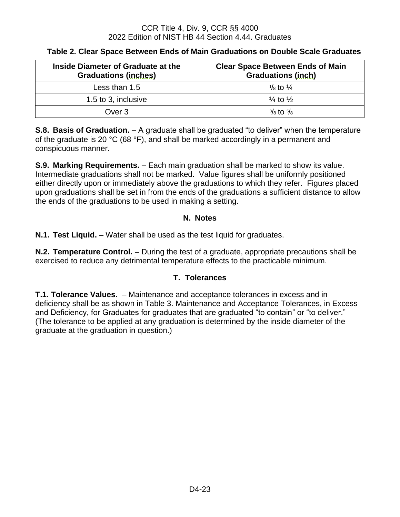| Inside Diameter of Graduate at the<br><b>Graduations (inches)</b> | <b>Clear Space Between Ends of Main</b><br><b>Graduations (inch)</b> |
|-------------------------------------------------------------------|----------------------------------------------------------------------|
| Less than 1.5                                                     | $\frac{1}{8}$ to $\frac{1}{4}$                                       |
| 1.5 to 3, inclusive                                               | $\frac{1}{4}$ to $\frac{1}{2}$                                       |
| Over 3                                                            | $\frac{3}{8}$ to $\frac{5}{8}$                                       |

#### **Table 2. Clear Space Between Ends of Main Graduations on Double Scale Graduates**

<span id="page-34-0"></span>**S.8. Basis of Graduation.** – A graduate shall be graduated "to deliver" when the temperature of the graduate is 20 °C (68 °F), and shall be marked accordingly in a permanent and conspicuous manner.

<span id="page-34-1"></span>**S.9. Marking Requirements.** – Each main graduation shall be marked to show its value. Intermediate graduations shall not be marked. Value figures shall be uniformly positioned either directly upon or immediately above the graduations to which they refer. Figures placed upon graduations shall be set in from the ends of the graduations a sufficient distance to allow the ends of the graduations to be used in making a setting.

#### **N. Notes**

<span id="page-34-3"></span><span id="page-34-2"></span>**N.1. Test Liquid.** – Water shall be used as the test liquid for graduates.

<span id="page-34-4"></span>**N.2. Temperature Control.** – During the test of a graduate, appropriate precautions shall be exercised to reduce any detrimental temperature effects to the practicable minimum.

#### **T. Tolerances**

<span id="page-34-6"></span><span id="page-34-5"></span>**T.1. Tolerance Values.** – Maintenance and acceptance tolerances in excess and in deficiency shall be as shown in Table 3. Maintenance and Acceptance Tolerances, in Excess and Deficiency, for Graduates for graduates that are graduated "to contain" or "to deliver." (The tolerance to be applied at any graduation is determined by the inside diameter of the graduate at the graduation in question.)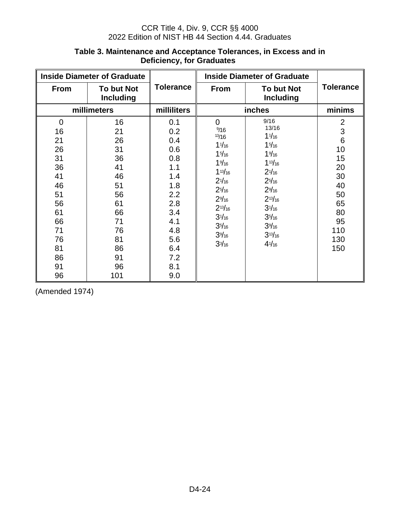| <b>Inside Diameter of Graduate</b>                                                                                |                                                                                                           |                                                                                                                            |                                                                                                                                                                                                                                           | <b>Inside Diameter of Graduate</b>                                                                                                                                                                                               |                                                                                                            |
|-------------------------------------------------------------------------------------------------------------------|-----------------------------------------------------------------------------------------------------------|----------------------------------------------------------------------------------------------------------------------------|-------------------------------------------------------------------------------------------------------------------------------------------------------------------------------------------------------------------------------------------|----------------------------------------------------------------------------------------------------------------------------------------------------------------------------------------------------------------------------------|------------------------------------------------------------------------------------------------------------|
| <b>From</b>                                                                                                       | <b>To but Not</b><br>Including                                                                            | <b>Tolerance</b>                                                                                                           | <b>From</b>                                                                                                                                                                                                                               | <b>To but Not</b><br><b>Including</b>                                                                                                                                                                                            | <b>Tolerance</b>                                                                                           |
|                                                                                                                   | millimeters                                                                                               |                                                                                                                            | inches                                                                                                                                                                                                                                    |                                                                                                                                                                                                                                  | minims                                                                                                     |
| $\mathbf 0$<br>16<br>21<br>26<br>31<br>36<br>41<br>46<br>51<br>56<br>61<br>66<br>71<br>76<br>81<br>86<br>91<br>96 | 16<br>21<br>26<br>31<br>36<br>41<br>46<br>51<br>56<br>61<br>66<br>71<br>76<br>81<br>86<br>91<br>96<br>101 | 0.1<br>0.2<br>0.4<br>0.6<br>0.8<br>1.1<br>1.4<br>1.8<br>2.2<br>2.8<br>3.4<br>4.1<br>4.8<br>5.6<br>6.4<br>7.2<br>8.1<br>9.0 | $\Omega$<br>9/16<br>13/16<br>$1\frac{1}{16}$<br>15/16<br>$1\frac{9}{16}$<br>$1\frac{13}{16}$<br>$2^{1/16}$<br>$2\frac{5}{16}$<br>$2\frac{9}{16}$<br>$2^{13}/_{16}$<br>$3^{1/16}$<br>$3\frac{5}{16}$<br>$3\frac{9}{16}$<br>$3\frac{3}{16}$ | 9/16<br>13/16<br>11/16<br>15/16<br>$1\frac{9}{16}$<br>$1\frac{13}{16}$<br>$2^{1/16}$<br>$2\frac{5}{16}$<br>$2\frac{9}{16}$<br>$2^{13}/_{16}$<br>$3^{1/16}$<br>$3\frac{5}{16}$<br>$3\frac{9}{16}$<br>$3^{13}/_{16}$<br>$4^{1/16}$ | $\overline{2}$<br>$\frac{3}{6}$<br>10<br>15<br>20<br>30<br>40<br>50<br>65<br>80<br>95<br>110<br>130<br>150 |

#### **Table 3. Maintenance and Acceptance Tolerances, in Excess and in Deficiency, for Graduates**

(Amended 1974)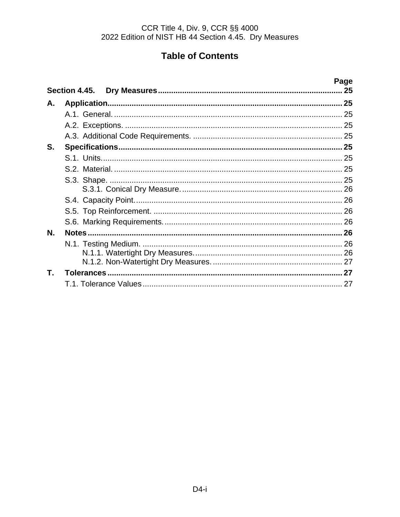# **Table of Contents**

|    | Section 4.45. | Page<br>25 |
|----|---------------|------------|
| А. |               |            |
|    |               |            |
|    |               |            |
|    |               |            |
| S. |               |            |
|    |               |            |
|    |               |            |
|    |               |            |
|    |               |            |
|    |               |            |
|    |               |            |
| N. |               |            |
|    |               |            |
|    |               |            |
|    |               |            |
| Т. |               |            |
|    |               |            |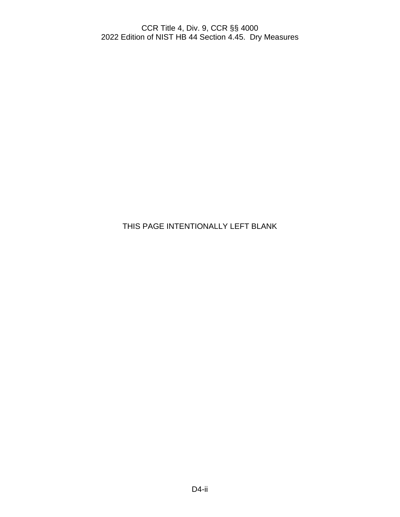### THIS PAGE INTENTIONALLY LEFT BLANK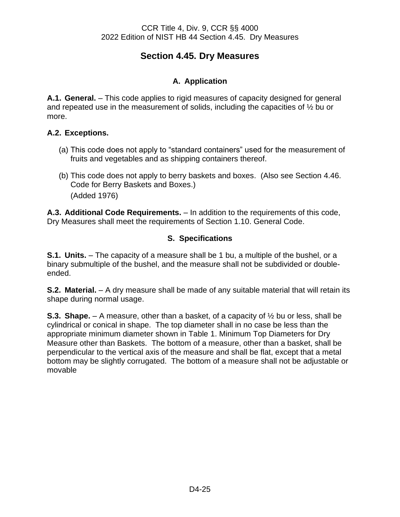### **Section 4.45. Dry Measures**

#### **A. Application**

<span id="page-38-2"></span><span id="page-38-1"></span><span id="page-38-0"></span>**A.1. General.** – This code applies to rigid measures of capacity designed for general and repeated use in the measurement of solids, including the capacities of ½ bu or more.

#### <span id="page-38-3"></span>**A.2. Exceptions.**

- (a) This code does not apply to "standard containers" used for the measurement of fruits and vegetables and as shipping containers thereof.
- (b) This code does not apply to berry baskets and boxes. (Also see Section 4.46. Code for Berry Baskets and Boxes.) (Added 1976)

<span id="page-38-4"></span>**A.3. Additional Code Requirements.** – In addition to the requirements of this code, Dry Measures shall meet the requirements of Section 1.10. General Code.

#### **S. Specifications**

<span id="page-38-6"></span><span id="page-38-5"></span>**S.1. Units.** – The capacity of a measure shall be 1 bu, a multiple of the bushel, or a binary submultiple of the bushel, and the measure shall not be subdivided or doubleended.

<span id="page-38-7"></span>**S.2. Material.** – A dry measure shall be made of any suitable material that will retain its shape during normal usage.

<span id="page-38-8"></span>**S.3. Shape.** – A measure, other than a basket, of a capacity of ½ bu or less, shall be cylindrical or conical in shape. The top diameter shall in no case be less than the appropriate minimum diameter shown in Table 1. Minimum Top Diameters for Dry Measure other than Baskets. The bottom of a measure, other than a basket, shall be perpendicular to the vertical axis of the measure and shall be flat, except that a metal bottom may be slightly corrugated. The bottom of a measure shall not be adjustable or movable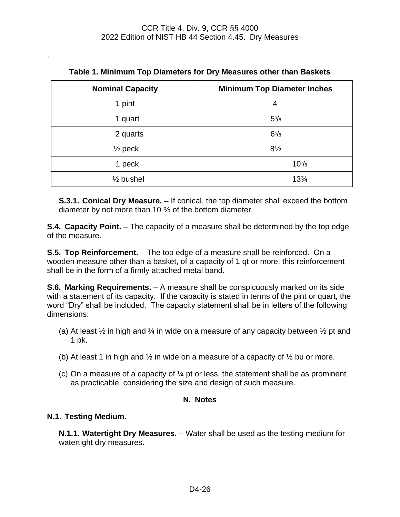| <b>Nominal Capacity</b> | <b>Minimum Top Diameter Inches</b> |
|-------------------------|------------------------------------|
| 1 pint                  | 4                                  |
| 1 quart                 | $5\frac{3}{8}$                     |
| 2 quarts                | $6\frac{5}{8}$                     |
| $\frac{1}{2}$ peck      | $8\frac{1}{2}$                     |
| 1 peck                  | $10^{7}/_8$                        |
| $\frac{1}{2}$ bushel    | $13\frac{3}{4}$                    |

**Table 1. Minimum Top Diameters for Dry Measures other than Baskets**

<span id="page-39-0"></span>**S.3.1. Conical Dry Measure.** – If conical, the top diameter shall exceed the bottom diameter by not more than 10 % of the bottom diameter.

<span id="page-39-1"></span>**S.4. Capacity Point.** – The capacity of a measure shall be determined by the top edge of the measure.

<span id="page-39-2"></span>**S.5. Top Reinforcement.** – The top edge of a measure shall be reinforced. On a wooden measure other than a basket, of a capacity of 1 qt or more, this reinforcement shall be in the form of a firmly attached metal band.

<span id="page-39-3"></span>**S.6. Marking Requirements.** – A measure shall be conspicuously marked on its side with a statement of its capacity. If the capacity is stated in terms of the pint or quart, the word "Dry" shall be included. The capacity statement shall be in letters of the following dimensions:

- (a) At least  $\frac{1}{2}$  in high and  $\frac{1}{4}$  in wide on a measure of any capacity between  $\frac{1}{2}$  pt and 1 pk.
- (b) At least 1 in high and  $\frac{1}{2}$  in wide on a measure of a capacity of  $\frac{1}{2}$  bu or more.
- (c) On a measure of a capacity of  $\frac{1}{4}$  pt or less, the statement shall be as prominent as practicable, considering the size and design of such measure.

#### **N. Notes**

#### <span id="page-39-5"></span><span id="page-39-4"></span>**N.1. Testing Medium.**

.

<span id="page-39-6"></span>**N.1.1. Watertight Dry Measures.** – Water shall be used as the testing medium for watertight dry measures.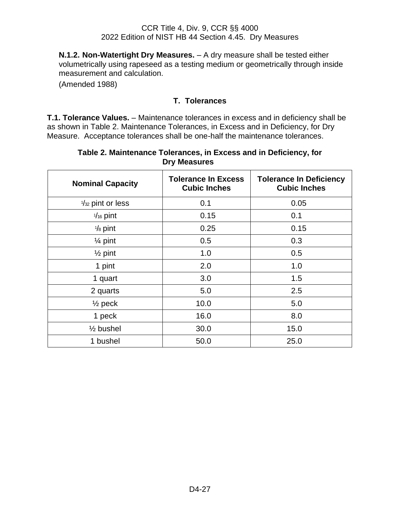<span id="page-40-0"></span>**N.1.2. Non-Watertight Dry Measures.** – A dry measure shall be tested either volumetrically using rapeseed as a testing medium or geometrically through inside measurement and calculation.

(Amended 1988)

#### **T. Tolerances**

<span id="page-40-2"></span><span id="page-40-1"></span>**T.1. Tolerance Values.** – Maintenance tolerances in excess and in deficiency shall be as shown in Table 2. Maintenance Tolerances, in Excess and in Deficiency, for Dry Measure. Acceptance tolerances shall be one-half the maintenance tolerances.

#### **Table 2. Maintenance Tolerances, in Excess and in Deficiency, for Dry Measures**

| <b>Nominal Capacity</b> | <b>Tolerance In Excess</b><br><b>Cubic Inches</b> | <b>Tolerance In Deficiency</b><br><b>Cubic Inches</b> |
|-------------------------|---------------------------------------------------|-------------------------------------------------------|
| $1/32$ pint or less     | 0.1                                               | 0.05                                                  |
| $1/16$ pint             | 0.15                                              | 0.1                                                   |
| $\frac{1}{8}$ pint      | 0.25                                              | 0.15                                                  |
| $\frac{1}{4}$ pint      | 0.5                                               | 0.3                                                   |
| $\frac{1}{2}$ pint      | 1.0                                               | 0.5                                                   |
| 1 pint                  | 2.0                                               | 1.0                                                   |
| 1 quart                 | 3.0                                               | 1.5                                                   |
| 2 quarts                | 5.0                                               | 2.5                                                   |
| $\frac{1}{2}$ peck      | 10.0                                              | 5.0                                                   |
| 1 peck                  | 16.0                                              | 8.0                                                   |
| $\frac{1}{2}$ bushel    | 30.0                                              | 15.0                                                  |
| 1 bushel                | 50.0                                              | 25.0                                                  |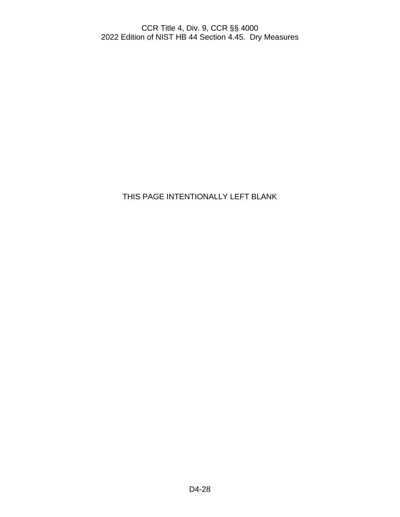### THIS PAGE INTENTIONALLY LEFT BLANK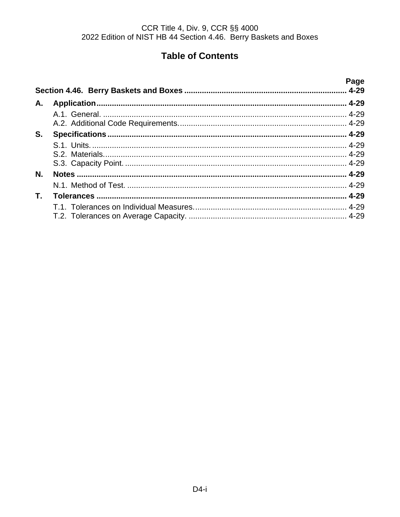# CCR Title 4, Div. 9, CCR §§ 4000<br>2022 Edition of NIST HB 44 Section 4.46. Berry Baskets and Boxes

# **Table of Contents**

|    | Page |
|----|------|
| А. |      |
|    |      |
|    |      |
| S. |      |
|    |      |
|    |      |
|    |      |
| N. |      |
|    |      |
| Т. |      |
|    |      |
|    |      |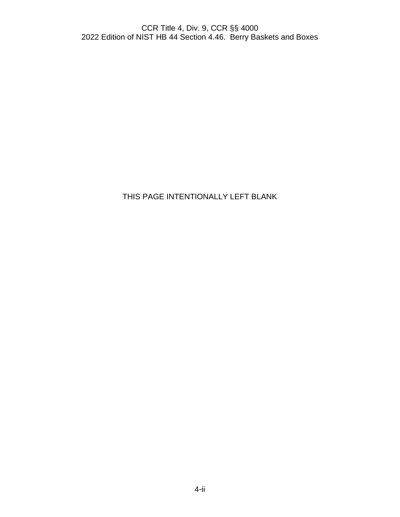# <span id="page-43-0"></span>THIS PAGE INTENTIONALLY LEFT BLANK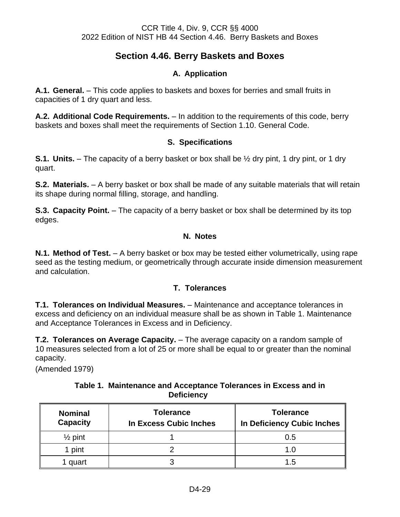# **Section 4.46. Berry Baskets and Boxes**

#### **A. Application**

<span id="page-44-1"></span><span id="page-44-0"></span>**A.1. General.** – This code applies to baskets and boxes for berries and small fruits in capacities of 1 dry quart and less.

<span id="page-44-2"></span>**A.2. Additional Code Requirements.** – In addition to the requirements of this code, berry baskets and boxes shall meet the requirements of Section 1.10. General Code.

#### **S. Specifications**

<span id="page-44-4"></span><span id="page-44-3"></span>**S.1. Units.** – The capacity of a berry basket or box shall be ½ dry pint, 1 dry pint, or 1 dry quart.

<span id="page-44-5"></span>**S.2. Materials.** – A berry basket or box shall be made of any suitable materials that will retain its shape during normal filling, storage, and handling.

<span id="page-44-6"></span>**S.3. Capacity Point.** – The capacity of a berry basket or box shall be determined by its top edges.

#### **N. Notes**

<span id="page-44-8"></span><span id="page-44-7"></span>**N.1. Method of Test.** – A berry basket or box may be tested either volumetrically, using rape seed as the testing medium, or geometrically through accurate inside dimension measurement and calculation.

#### **T. Tolerances**

<span id="page-44-10"></span><span id="page-44-9"></span>**T.1. Tolerances on Individual Measures.** – Maintenance and acceptance tolerances in excess and deficiency on an individual measure shall be as shown in Table 1. Maintenance and Acceptance Tolerances in Excess and in Deficiency.

<span id="page-44-11"></span>**T.2. Tolerances on Average Capacity.** – The average capacity on a random sample of 10 measures selected from a lot of 25 or more shall be equal to or greater than the nominal capacity.

(Amended 1979)

| <b>Deficiency</b>                 |                                            |                                                |  |
|-----------------------------------|--------------------------------------------|------------------------------------------------|--|
| <b>Nominal</b><br><b>Capacity</b> | <b>Tolerance</b><br>In Excess Cubic Inches | <b>Tolerance</b><br>In Deficiency Cubic Inches |  |
| $\frac{1}{2}$ pint                |                                            | 0.5                                            |  |
| 1 pint                            |                                            | 1.0                                            |  |
|                                   |                                            |                                                |  |

1 quart 1.5

#### **Table 1. Maintenance and Acceptance Tolerances in Excess and in Deficiency**